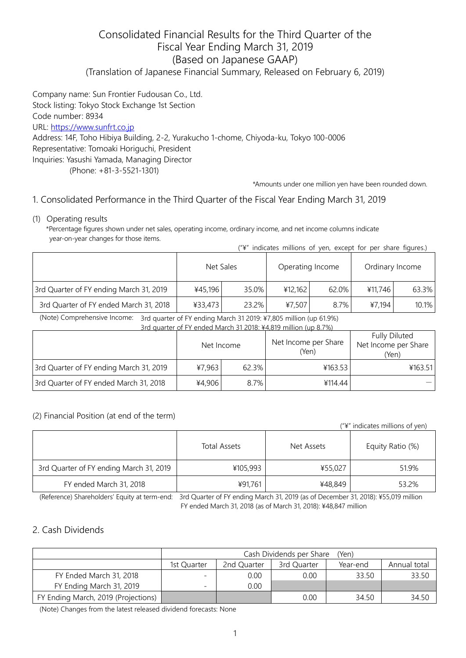# Consolidated Financial Results for the Third Quarter of the Fiscal Year Ending March 31, 2019 (Based on Japanese GAAP) (Translation of Japanese Financial Summary, Released on February 6, 2019)

Company name: Sun Frontier Fudousan Co., Ltd. Stock listing: Tokyo Stock Exchange 1st Section Code number: 8934 URL: [https://www.sunfrt.co.jp](https://www.sunfrt.co.jp/) Address: 14F, Toho Hibiya Building, 2-2, Yurakucho 1-chome, Chiyoda-ku, Tokyo 100-0006 Representative: Tomoaki Horiguchi, President Inquiries: Yasushi Yamada, Managing Director (Phone: +81-3-5521-1301)

\*Amounts under one million yen have been rounded down.

## 1. Consolidated Performance in the Third Quarter of the Fiscal Year Ending March 31, 2019

(1) Operating results

\*Percentage figures shown under net sales, operating income, ordinary income, and net income columns indicate year-on-year changes for those items.

| ("\" indicates millions of yen, except for per share figures.) |  |  |  |  |
|----------------------------------------------------------------|--|--|--|--|
|----------------------------------------------------------------|--|--|--|--|

|                                         |         | Net Sales |         | Operating Income | Ordinary Income |       |
|-----------------------------------------|---------|-----------|---------|------------------|-----------------|-------|
| 3rd Quarter of FY ending March 31, 2019 | ¥45,196 | 35.0%     | 412.162 | 62.0%            | ¥11.746         | 63.3% |
| 3rd Quarter of FY ended March 31, 2018  | ¥33,473 | 23.2%     | ¥7,507  | 8.7%             | ¥7,194          | 10.1% |

(Note) Comprehensive Income: 3rd quarter of FY ending March 31 2019: ¥7,805 million (up 61.9%)

| 3rd auarter of FY ended March 31 2018: ¥4.819 million (up 8.7%) |            |       |                               |                                                       |  |  |  |  |
|-----------------------------------------------------------------|------------|-------|-------------------------------|-------------------------------------------------------|--|--|--|--|
|                                                                 | Net Income |       | Net Income per Share<br>(Yen) | <b>Fully Diluted</b><br>Net Income per Share<br>(Yen) |  |  |  |  |
| 3rd Quarter of FY ending March 31, 2019                         | ¥7,963     | 62.3% | ¥163.53                       | 4163.51                                               |  |  |  |  |
| 3rd Quarter of FY ended March 31, 2018                          | ¥4,906     | 8.7%  | ¥114.44                       |                                                       |  |  |  |  |

#### (2) Financial Position (at end of the term)

|                                         |                     |            | ("\" indicates millions of yen) |
|-----------------------------------------|---------------------|------------|---------------------------------|
|                                         | <b>Total Assets</b> | Net Assets | Equity Ratio (%)                |
| 3rd Quarter of FY ending March 31, 2019 | ¥105,993            | ¥55,027    | 51.9%                           |
| FY ended March 31, 2018                 | ¥91,761             | ¥48,849    | 53.2%                           |

(Reference) Shareholders' Equity at term-end: 3rd Quarter of FY ending March 31, 2019 (as of December 31, 2018): ¥55,019 million FY ended March 31, 2018 (as of March 31, 2018): ¥48,847 million

### 2. Cash Dividends

|                                     | Cash Dividends per Share<br>(Yen)                                     |      |      |       |       |  |  |
|-------------------------------------|-----------------------------------------------------------------------|------|------|-------|-------|--|--|
|                                     | 2nd Quarter<br>3rd Quarter<br>Annual total<br>1st Ouarter<br>Year-end |      |      |       |       |  |  |
| FY Ended March 31, 2018             |                                                                       | 0.00 | 0.00 | 33.50 | 33.50 |  |  |
| FY Ending March 31, 2019            |                                                                       | 0.00 |      |       |       |  |  |
| FY Ending March, 2019 (Projections) |                                                                       |      | 0.00 | 34.50 | 34.50 |  |  |

(Note) Changes from the latest released dividend forecasts: None